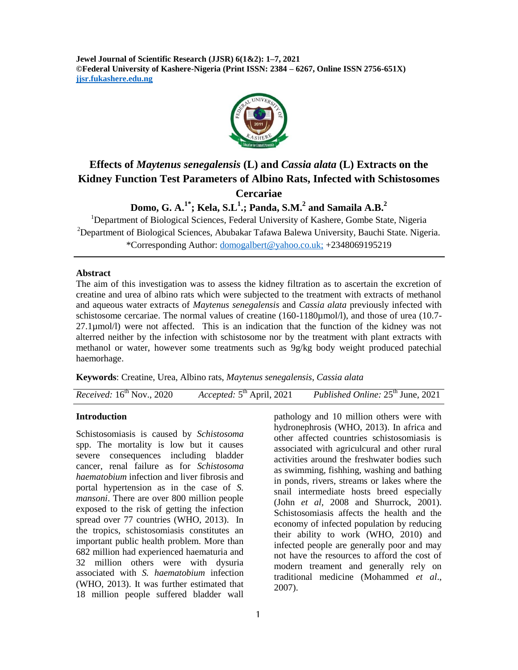**Jewel Journal of Scientific Research (JJSR) 6(1&2): 1–7, 2021 ©Federal University of Kashere-Nigeria (Print ISSN: 2384 – 6267, Online ISSN 2756-651X) jjsr.fukashere.edu.ng**



# **Effects of** *Maytenus senegalensis* **(L) and** *Cassia alata* **(L) Extracts on the Kidney Function Test Parameters of Albino Rats, Infected with Schistosomes Cercariae**

**Domo, G. A.1\* ; Kela, S.L<sup>1</sup> .; Panda, S.M. 2 and Samaila A.B. 2**

<sup>1</sup>Department of Biological Sciences, Federal University of Kashere, Gombe State, Nigeria <sup>2</sup>Department of Biological Sciences, Abubakar Tafawa Balewa University, Bauchi State. Nigeria. \*Corresponding Author: [domogalbert@yahoo.co.uk;](mailto:domogalbert@yahoo.co.uk) +2348069195219

#### **Abstract**

The aim of this investigation was to assess the kidney filtration as to ascertain the excretion of creatine and urea of albino rats which were subjected to the treatment with extracts of methanol and aqueous water extracts of *Maytenus senegalensis* and *Cassia alata* previously infected with schistosome cercariae. The normal values of creatine (160-1180µmol/l), and those of urea (10.7- 27.1µmol/l) were not affected. This is an indication that the function of the kidney was not alterred neither by the infection with schistosome nor by the treatment with plant extracts with methanol or water, however some treatments such as 9g/kg body weight produced patechial haemorhage.

**Keywords**: Creatine, Urea, Albino rats, *Maytenus senegalensis*, *Cassia alata*

*Received:* 16<sup>th</sup> Nov., 2020 *Accepted:* 5<sup>th</sup> April, 2021 *Published Online:*  $25<sup>th</sup>$  June, 2021

### **Introduction**

Schistosomiasis is caused by *Schistosoma* spp. The mortality is low but it causes severe consequences including bladder cancer, renal failure as for *Schistosoma haematobium* infection and liver fibrosis and portal hypertension as in the case of *S. mansoni*. There are over 800 million people exposed to the risk of getting the infection spread over 77 countries (WHO, 2013). In the tropics, schistosomiasis constitutes an important public health problem. More than 682 million had experienced haematuria and 32 million others were with dysuria associated with *S. haematobium* infection (WHO, 2013). It was further estimated that 18 million people suffered bladder wall

pathology and 10 million others were with hydronephrosis (WHO, 2013). In africa and other affected countries schistosomiasis is associated with agriculcural and other rural activities around the freshwater bodies such as swimming, fishhing, washing and bathing in ponds, rivers, streams or lakes where the snail intermediate hosts breed especially (John *et al*, 2008 and Shurrock, 2001). Schistosomiasis affects the health and the economy of infected population by reducing their ability to work (WHO, 2010) and infected people are generally poor and may not have the resources to afford the cost of modern treament and generally rely on traditional medicine (Mohammed *et al*., 2007).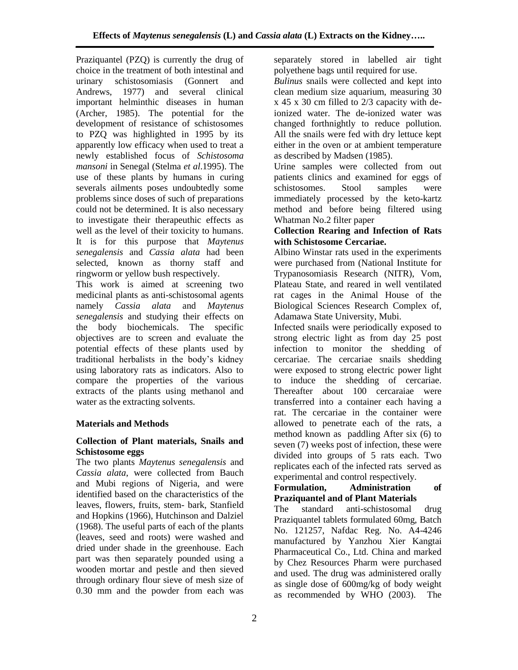Praziquantel (PZQ) is currently the drug of choice in the treatment of both intestinal and urinary schistosomiasis (Gonnert and Andrews, 1977) and several clinical important helminthic diseases in human (Archer, 1985). The potential for the development of resistance of schistosomes to PZQ was highlighted in 1995 by its apparently low efficacy when used to treat a newly established focus of *Schistosoma mansoni* in Senegal (Stelma *et al*.1995). The use of these plants by humans in curing severals ailments poses undoubtedly some problems since doses of such of preparations could not be determined. It is also necessary to investigate their therapeuthic effects as well as the level of their toxicity to humans. It is for this purpose that *Maytenus senegalensis* and *Cassia alata* had been selected, known as thorny staff and ringworm or yellow bush respectively.

This work is aimed at screening two medicinal plants as anti-schistosomal agents namely *Cassia alata* and *Maytenus senegalensis* and studying their effects on the body biochemicals. The specific objectives are to screen and evaluate the potential effects of these plants used by traditional herbalists in the body's kidney using laboratory rats as indicators. Also to compare the properties of the various extracts of the plants using methanol and water as the extracting solvents.

## **Materials and Methods**

## **Collection of Plant materials, Snails and Schistosome eggs**

The two plants *Maytenus senegalensis* and *Cassia alata*, were collected from Bauch and Mubi regions of Nigeria, and were identified based on the characteristics of the leaves, flowers, fruits, stem- bark, Stanfield and Hopkins (1966), Hutchinson and Dalziel (1968). The useful parts of each of the plants (leaves, seed and roots) were washed and dried under shade in the greenhouse. Each part was then separately pounded using a wooden mortar and pestle and then sieved through ordinary flour sieve of mesh size of 0.30 mm and the powder from each was

separately stored in labelled air tight polyethene bags until required for use.

*Bulinus* snails were collected and kept into clean medium size aquarium, measuring 30 x 45 x 30 cm filled to 2/3 capacity with deionized water. The de-ionized water was changed forthnightly to reduce pollution. All the snails were fed with dry lettuce kept either in the oven or at ambient temperature as described by Madsen (1985).

Urine samples were collected from out patients clinics and examined for eggs of schistosomes. Stool samples were immediately processed by the keto-kartz method and before being filtered using Whatman No.2 filter paper

## **Collection Rearing and Infection of Rats with Schistosome Cercariae.**

Albino Winstar rats used in the experiments were purchased from (National Institute for Trypanosomiasis Research (NITR), Vom, Plateau State, and reared in well ventilated rat cages in the Animal House of the Biological Sciences Research Complex of, Adamawa State University, Mubi.

Infected snails were periodically exposed to strong electric light as from day 25 post infection to monitor the shedding of cercariae. The cercariae snails shedding were exposed to strong electric power light to induce the shedding of cercariae. Thereafter about 100 cercaraiae were transferred into a container each having a rat. The cercariae in the container were allowed to penetrate each of the rats, a method known as paddling After six (6) to seven (7) weeks post of infection, these were divided into groups of 5 rats each. Two replicates each of the infected rats served as experimental and control respectively.

## **Formulation, Administration of Praziquantel and of Plant Materials**

The standard anti-schistosomal drug Praziquantel tablets formulated 60mg, Batch No. 121257, Nafdac Reg. No. A4-4246 manufactured by Yanzhou Xier Kangtai Pharmaceutical Co., Ltd. China and marked by Chez Resources Pharm were purchased and used. The drug was administered orally as single dose of 600mg/kg of body weight as recommended by WHO (2003). The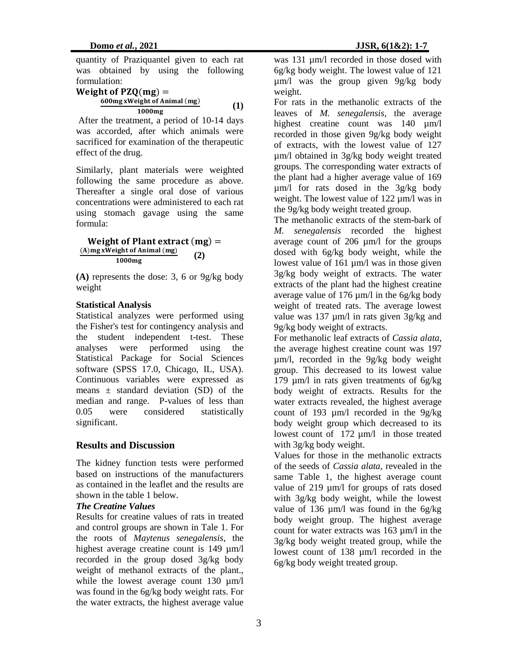quantity of Praziquantel given to each rat was obtained by using the following formulation:

Weight of PZQ(mg) =  
\n
$$
\frac{600mg xWeight of Animal (mg)}{1000mg}
$$
 (1)

After the treatment, a period of 10-14 days was accorded, after which animals were sacrificed for examination of the therapeutic effect of the drug.

Similarly, plant materials were weighted following the same procedure as above. Thereafter a single oral dose of various concentrations were administered to each rat using stomach gavage using the same formula:

**Weight of Plant extract**  $(mg) =$  $(A)$ mg xWeight of Animal (mg) 1000mg  **(2)**

**(A)** represents the dose: 3, 6 or 9g/kg body weight

### **Statistical Analysis**

Statistical analyzes were performed using the Fisher's test for contingency analysis and the student independent t-test. These analyses were performed using the Statistical Package for Social Sciences software (SPSS 17.0, Chicago, IL, USA). Continuous variables were expressed as means  $\pm$  standard deviation (SD) of the median and range. P-values of less than 0.05 were considered statistically significant.

### **Results and Discussion**

The kidney function tests were performed based on instructions of the manufacturers as contained in the leaflet and the results are shown in the table 1 below.

#### *The Creatine Values*

Results for creatine values of rats in treated and control groups are shown in Tale 1. For the roots of *Maytenus senegalensis*, the highest average creatine count is 149  $\mu$ m/l recorded in the group dosed 3g/kg body weight of methanol extracts of the plant., while the lowest average count 130  $\mu$ m/l was found in the 6g/kg body weight rats. For the water extracts, the highest average value

was 131  $\mu$ m/l recorded in those dosed with 6g/kg body weight. The lowest value of 121 µm/l was the group given 9g/kg body weight.

For rats in the methanolic extracts of the leaves of *M. senegalensis*, the average highest creatine count was 140  $\mu$ m/l recorded in those given 9g/kg body weight of extracts, with the lowest value of 127 µm/l obtained in 3g/kg body weight treated groups. The corresponding water extracts of the plant had a higher average value of 169 µm/l for rats dosed in the 3g/kg body weight. The lowest value of 122  $\mu$ m/l was in the 9g/kg body weight treated group.

The methanolic extracts of the stem-bark of *M. senegalensis* recorded the highest average count of 206 µm/l for the groups dosed with 6g/kg body weight, while the lowest value of 161  $\mu$ m/l was in those given 3g/kg body weight of extracts. The water extracts of the plant had the highest creatine average value of 176  $\mu$ m/l in the 6g/kg body weight of treated rats. The average lowest value was 137  $\mu$ m/l in rats given 3g/kg and 9g/kg body weight of extracts.

For methanolic leaf extracts of *Cassia alata*, the average highest creatine count was 197 µm/l, recorded in the 9g/kg body weight group. This decreased to its lowest value 179 µm/l in rats given treatments of 6g/kg body weight of extracts. Results for the water extracts revealed, the highest average count of 193 µm/l recorded in the 9g/kg body weight group which decreased to its lowest count of 172 µm/l in those treated with 3g/kg body weight.

Values for those in the methanolic extracts of the seeds of *Cassia alata*, revealed in the same Table 1, the highest average count value of 219  $\mu$ m/l for groups of rats dosed with 3g/kg body weight, while the lowest value of 136 µm/l was found in the 6g/kg body weight group. The highest average count for water extracts was 163 µm/l in the 3g/kg body weight treated group, while the lowest count of 138 µm/l recorded in the 6g/kg body weight treated group.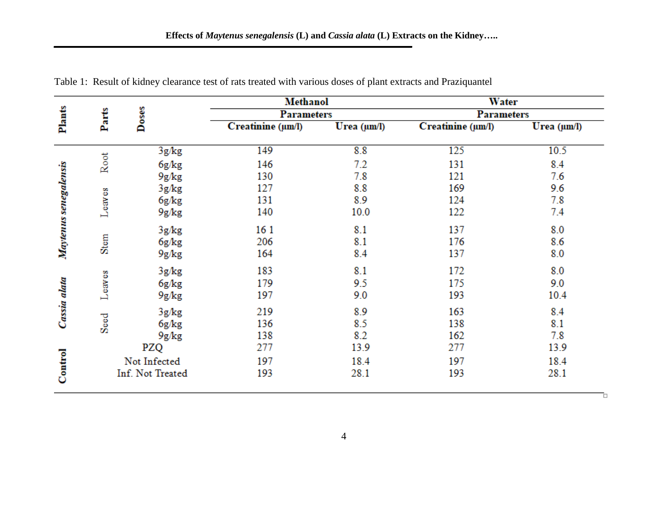|                       | Parts            | Doses | <b>Methanol</b><br><b>Parameters</b> |             | <b>Water</b><br><b>Parameters</b> |             |
|-----------------------|------------------|-------|--------------------------------------|-------------|-----------------------------------|-------------|
|                       |                  |       |                                      |             |                                   |             |
| Plants                |                  |       | Creatinine (um/l)                    | Urea (µm/l) | Creatinine (um/l)                 | Urea (µm/l) |
|                       | Root             | 3g/kg | 149                                  | 8.8         | 125                               | 10.5        |
|                       |                  | 6g/kg | 146                                  | 7.2         | 131                               | 8.4         |
|                       |                  | 9g/kg | 130                                  | 7.8         | 121                               | 7.6         |
|                       | Leaves           | 3g/kg | 127                                  | 8.8         | 169                               | 9.6         |
|                       |                  | 6g/kg | 131                                  | 8.9         | 124                               | 7.8         |
| Maytenus senegalensis |                  | 9g/kg | 140                                  | 10.0        | 122                               | 7.4         |
|                       | Stem             | 3g/kg | 161                                  | 8.1         | 137                               | 8.0         |
|                       |                  | 6g/kg | 206                                  | 8.1         | 176                               | 8.6         |
|                       |                  | 9g/kg | 164                                  | 8.4         | 137                               | 8.0         |
|                       | Leaves           | 3g/kg | 183                                  | 8.1         | 172                               | 8.0         |
|                       |                  | 6g/kg | 179                                  | 9.5         | 175                               | 9.0         |
| Cassia alata          |                  | 9g/kg | 197                                  | 9.0         | 193                               | 10.4        |
|                       | Seed             | 3g/kg | 219                                  | 8.9         | 163                               | 8.4         |
|                       |                  | 6g/kg | 136                                  | 8.5         | 138                               | 8.1         |
|                       |                  | 9g/kg | 138                                  | 8.2         | 162                               | 7.8         |
|                       | PZQ              |       | 277                                  | 13.9        | 277                               | 13.9        |
| Control               | Not Infected     |       | 197                                  | 18.4        | 197                               | 18.4        |
|                       | Inf. Not Treated |       | 193                                  | 28.1        | 193                               | 28.1        |

Table 1: Result of kidney clearance test of rats treated with various doses of plant extracts and Praziquantel

Ō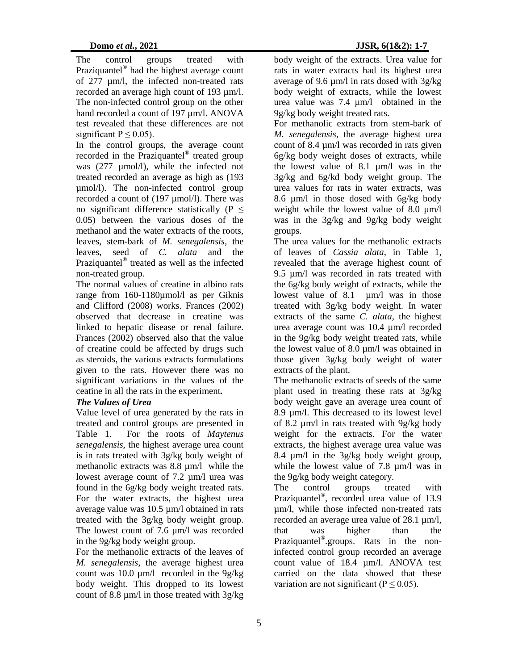The control groups treated with Praziquantel® had the highest average count of 277 µm/l, the infected non-treated rats recorded an average high count of 193 µm/l. The non-infected control group on the other hand recorded a count of 197 µm/l. ANOVA test revealed that these differences are not significant  $P \leq 0.05$ ).

In the control groups, the average count recorded in the Praziquantel<sup>®</sup> treated group was (277 µmol/l), while the infected not treated recorded an average as high as (193 µmol/l). The non-infected control group recorded a count of (197 µmol/l). There was no significant difference statistically ( $P \leq$ 0.05) between the various doses of the methanol and the water extracts of the roots, leaves, stem-bark of *M. senegalensis*, the leaves, seed of *C. alata* and the Praziquantel<sup>®</sup> treated as well as the infected non-treated group.

The normal values of creatine in albino rats range from 160-1180umol/l as per Giknis and Clifford (2008) works. Frances (2002) observed that decrease in creatine was linked to hepatic disease or renal failure. Frances (2002) observed also that the value of creatine could be affected by drugs such as steroids, the various extracts formulations given to the rats. However there was no significant variations in the values of the ceatine in all the rats in the experiment*.*

## *The Values of Urea*

Value level of urea generated by the rats in treated and control groups are presented in Table 1. For the roots of *Maytenus senegalensis*, the highest average urea count is in rats treated with 3g/kg body weight of methanolic extracts was 8.8 µm/l while the lowest average count of 7.2 µm/l urea was found in the 6g/kg body weight treated rats. For the water extracts, the highest urea average value was 10.5 µm/l obtained in rats treated with the 3g/kg body weight group. The lowest count of 7.6  $\mu$ m/l was recorded in the 9g/kg body weight group.

For the methanolic extracts of the leaves of *M. senegalensis*, the average highest urea count was 10.0  $\mu$ m/l recorded in the 9g/kg body weight. This dropped to its lowest count of 8.8 µm/l in those treated with 3g/kg

body weight of the extracts. Urea value for rats in water extracts had its highest urea average of 9.6 µm/l in rats dosed with 3g/kg body weight of extracts, while the lowest urea value was 7.4 µm/l obtained in the 9g/kg body weight treated rats.

For methanolic extracts from stem-bark of *M. senegalensis*, the average highest urea count of 8.4 µm/l was recorded in rats given 6g/kg body weight doses of extracts, while the lowest value of 8.1 µm/l was in the 3g/kg and 6g/kd body weight group. The urea values for rats in water extracts, was 8.6 µm/l in those dosed with 6g/kg body weight while the lowest value of  $8.0 \mu m/l$ was in the 3g/kg and 9g/kg body weight groups.

The urea values for the methanolic extracts of leaves of *Cassia alata*, in Table 1, revealed that the average highest count of 9.5 µm/l was recorded in rats treated with the 6g/kg body weight of extracts, while the lowest value of 8.1 um/l was in those treated with 3g/kg body weight. In water extracts of the same *C. alata*, the highest urea average count was 10.4 µm/l recorded in the 9g/kg body weight treated rats, while the lowest value of 8.0 µm/l was obtained in those given 3g/kg body weight of water extracts of the plant.

The methanolic extracts of seeds of the same plant used in treating these rats at 3g/kg body weight gave an average urea count of 8.9 µm/l. This decreased to its lowest level of 8.2 µm/l in rats treated with 9g/kg body weight for the extracts. For the water extracts, the highest average urea value was 8.4 µm/l in the 3g/kg body weight group, while the lowest value of 7.8  $\mu$ m/l was in the 9g/kg body weight category.

The control groups treated with Praziquantel® , recorded urea value of 13.9 um/l, while those infected non-treated rats recorded an average urea value of 28.1 µm/l, that was higher than the Praziquantel<sup>®</sup>.groups. Rats in the noninfected control group recorded an average count value of 18.4 µm/l. ANOVA test carried on the data showed that these variation are not significant ( $P \le 0.05$ ).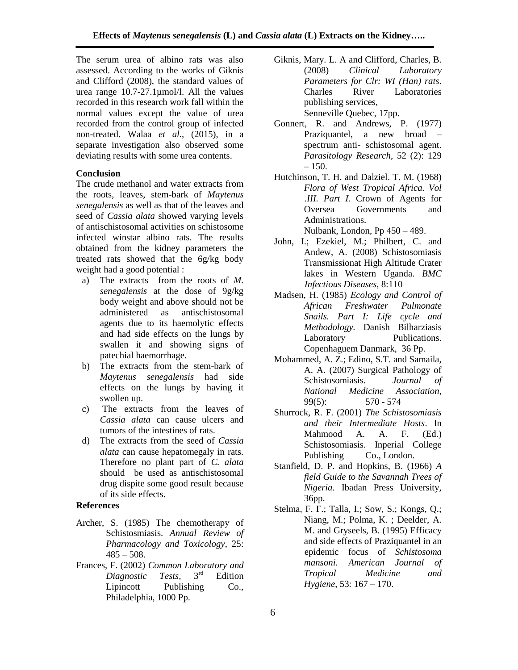The serum urea of albino rats was also assessed. According to the works of Giknis and Clifford (2008), the standard values of urea range 10.7-27.1µmol/l. All the values recorded in this research work fall within the normal values except the value of urea recorded from the control group of infected non-treated. Walaa *et al*., (2015), in a separate investigation also observed some deviating results with some urea contents.

#### **Conclusion**

The crude methanol and water extracts from the roots, leaves, stem-bark of *Maytenus senegalensis* as well as that of the leaves and seed of *Cassia alata* showed varying levels of antischistosomal activities on schistosome infected winstar albino rats. The results obtained from the kidney parameters the treated rats showed that the 6g/kg body weight had a good potential :

- a) The extracts from the roots of *M. senegalensis* at the dose of 9g/kg body weight and above should not be administered as antischistosomal agents due to its haemolytic effects and had side effects on the lungs by swallen it and showing signs of patechial haemorrhage.
- b) The extracts from the stem-bark of *Maytenus senegalensis* had side effects on the lungs by having it swollen up.
- c) The extracts from the leaves of *Cassia alata* can cause ulcers and tumors of the intestines of rats.
- d) The extracts from the seed of *Cassia alata* can cause hepatomegaly in rats. Therefore no plant part of *C. alata* should be used as antischistosomal drug dispite some good result because of its side effects.

### **References**

- Archer, S. (1985) The chemotherapy of Schistosmiasis. *Annual Review of Pharmacology and Toxicology*, 25:  $485 - 508$ .
- Frances, F. (2002) *Common Laboratory and Diagnostic Tests,* 3 **Edition** Lipincott Publishing Co., Philadelphia, 1000 Pp.
- Giknis, Mary. L. A and Clifford, Charles, B. (2008) *Clinical Laboratory Parameters for Clr: WI (Han) rats*. Charles River Laboratories publishing services, Senneville Quebec, 17pp.
- Gonnert, R. and Andrews, P. (1977) Praziquantel, a new broad – spectrum anti- schistosomal agent. *Parasitology Research*, 52 (2): 129  $-150.$
- Hutchinson, T. H. and Dalziel. T. M. (1968) *Flora of West Tropical Africa. Vol* .*III. Part I*. Crown of Agents for Oversea Governments and Administrations. Nulbank, London, Pp 450 – 489.

John, I.; Ezekiel, M.; Philbert, C. and Andew, A. (2008) Schistosomiasis Transmissionat High Altitude Crater lakes in Western Uganda. *BMC Infectious Diseases,* 8:110

- Madsen, H. (1985) *Ecology and Control of African Freshwater Pulmonate Snails. Part I: Life cycle and Methodology.* Danish Bilharziasis Laboratory Publications. Copenhaguem Danmark, 36 Pp.
- Mohammed, A. Z.; Edino, S.T. and Samaila, A. A. (2007) Surgical Pathology of Schistosomiasis. *Journal of National Medicine Association*, 99(5): 570 - 574
- Shurrock, R. F. (2001) *The Schistosomiasis and their Intermediate Hosts*. In Mahmood A. A. F. (Ed.) Schistosomiasis. Inperial College Publishing Co., London.
- Stanfield, D. P. and Hopkins, B. (1966) *A field Guide to the Savannah Trees of Nigeria*. Ibadan Press University, 36pp.
- Stelma, F. F.; Talla, I.; Sow, S.; Kongs, Q.; Niang, M.; Polma, K. ; Deelder, A. M. and Gryseels, B. (1995) Efficacy and side effects of Praziquantel in an epidemic focus of *Schistosoma mansoni. American Journal of Tropical Medicine and Hygiene*, 53: 167 – 170.